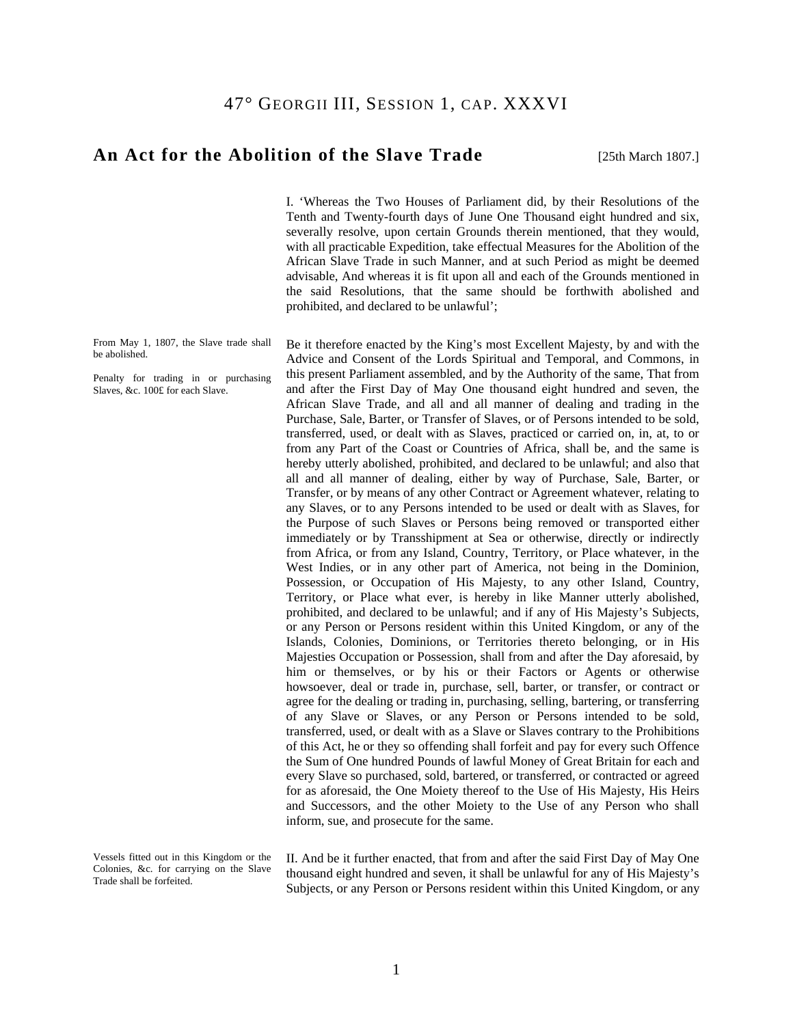## **An Act for the Abolition of the Slave Trade** [25th March 1807.]

I. 'Whereas the Two Houses of Parliament did, by their Resolutions of the Tenth and Twenty-fourth days of June One Thousand eight hundred and six, severally resolve, upon certain Grounds therein mentioned, that they would, with all practicable Expedition, take effectual Measures for the Abolition of the African Slave Trade in such Manner, and at such Period as might be deemed advisable, And whereas it is fit upon all and each of the Grounds mentioned in the said Resolutions, that the same should be forthwith abolished and prohibited, and declared to be unlawful';

Be it therefore enacted by the King's most Excellent Majesty, by and with the Advice and Consent of the Lords Spiritual and Temporal, and Commons, in this present Parliament assembled, and by the Authority of the same, That from and after the First Day of May One thousand eight hundred and seven, the African Slave Trade, and all and all manner of dealing and trading in the Purchase, Sale, Barter, or Transfer of Slaves, or of Persons intended to be sold, transferred, used, or dealt with as Slaves, practiced or carried on, in, at, to or from any Part of the Coast or Countries of Africa, shall be, and the same is hereby utterly abolished, prohibited, and declared to be unlawful; and also that all and all manner of dealing, either by way of Purchase, Sale, Barter, or Transfer, or by means of any other Contract or Agreement whatever, relating to any Slaves, or to any Persons intended to be used or dealt with as Slaves, for the Purpose of such Slaves or Persons being removed or transported either immediately or by Transshipment at Sea or otherwise, directly or indirectly from Africa, or from any Island, Country, Territory, or Place whatever, in the West Indies, or in any other part of America, not being in the Dominion, Possession, or Occupation of His Majesty, to any other Island, Country, Territory, or Place what ever, is hereby in like Manner utterly abolished, prohibited, and declared to be unlawful; and if any of His Majesty's Subjects, or any Person or Persons resident within this United Kingdom, or any of the Islands, Colonies, Dominions, or Territories thereto belonging, or in His Majesties Occupation or Possession, shall from and after the Day aforesaid, by him or themselves, or by his or their Factors or Agents or otherwise howsoever, deal or trade in, purchase, sell, barter, or transfer, or contract or agree for the dealing or trading in, purchasing, selling, bartering, or transferring of any Slave or Slaves, or any Person or Persons intended to be sold, transferred, used, or dealt with as a Slave or Slaves contrary to the Prohibitions of this Act, he or they so offending shall forfeit and pay for every such Offence the Sum of One hundred Pounds of lawful Money of Great Britain for each and every Slave so purchased, sold, bartered, or transferred, or contracted or agreed for as aforesaid, the One Moiety thereof to the Use of His Majesty, His Heirs and Successors, and the other Moiety to the Use of any Person who shall inform, sue, and prosecute for the same.

From May 1, 1807, the Slave trade shall be abolished.

Penalty for trading in or purchasing Slaves, &c. 100£ for each Slave.

Vessels fitted out in this Kingdom or the Colonies, &c. for carrying on the Slave Trade shall be forfeited.

II. And be it further enacted, that from and after the said First Day of May One thousand eight hundred and seven, it shall be unlawful for any of His Majesty's Subjects, or any Person or Persons resident within this United Kingdom, or any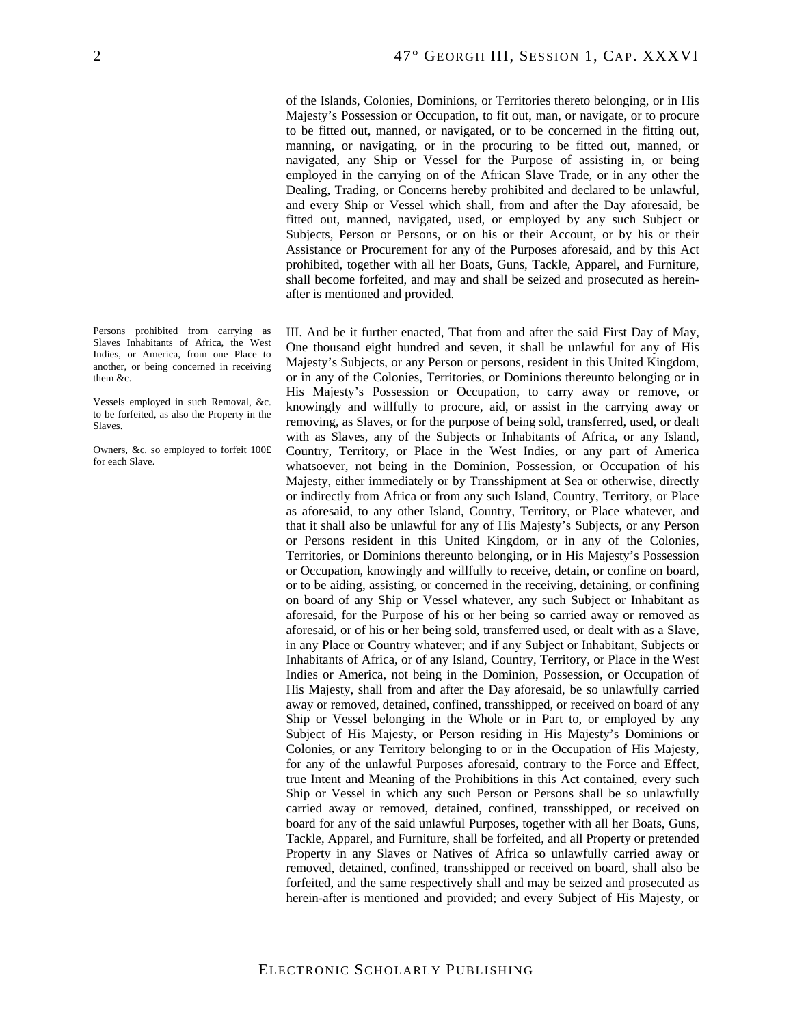of the Islands, Colonies, Dominions, or Territories thereto belonging, or in His Majesty's Possession or Occupation, to fit out, man, or navigate, or to procure to be fitted out, manned, or navigated, or to be concerned in the fitting out, manning, or navigating, or in the procuring to be fitted out, manned, or navigated, any Ship or Vessel for the Purpose of assisting in, or being employed in the carrying on of the African Slave Trade, or in any other the Dealing, Trading, or Concerns hereby prohibited and declared to be unlawful, and every Ship or Vessel which shall, from and after the Day aforesaid, be fitted out, manned, navigated, used, or employed by any such Subject or Subjects, Person or Persons, or on his or their Account, or by his or their Assistance or Procurement for any of the Purposes aforesaid, and by this Act prohibited, together with all her Boats, Guns, Tackle, Apparel, and Furniture, shall become forfeited, and may and shall be seized and prosecuted as hereinafter is mentioned and provided.

III. And be it further enacted, That from and after the said First Day of May, One thousand eight hundred and seven, it shall be unlawful for any of His Majesty's Subjects, or any Person or persons, resident in this United Kingdom, or in any of the Colonies, Territories, or Dominions thereunto belonging or in His Majesty's Possession or Occupation, to carry away or remove, or knowingly and willfully to procure, aid, or assist in the carrying away or removing, as Slaves, or for the purpose of being sold, transferred, used, or dealt with as Slaves, any of the Subjects or Inhabitants of Africa, or any Island, Country, Territory, or Place in the West Indies, or any part of America whatsoever, not being in the Dominion, Possession, or Occupation of his Majesty, either immediately or by Transshipment at Sea or otherwise, directly or indirectly from Africa or from any such Island, Country, Territory, or Place as aforesaid, to any other Island, Country, Territory, or Place whatever, and that it shall also be unlawful for any of His Majesty's Subjects, or any Person or Persons resident in this United Kingdom, or in any of the Colonies, Territories, or Dominions thereunto belonging, or in His Majesty's Possession or Occupation, knowingly and willfully to receive, detain, or confine on board, or to be aiding, assisting, or concerned in the receiving, detaining, or confining on board of any Ship or Vessel whatever, any such Subject or Inhabitant as aforesaid, for the Purpose of his or her being so carried away or removed as aforesaid, or of his or her being sold, transferred used, or dealt with as a Slave, in any Place or Country whatever; and if any Subject or Inhabitant, Subjects or Inhabitants of Africa, or of any Island, Country, Territory, or Place in the West Indies or America, not being in the Dominion, Possession, or Occupation of His Majesty, shall from and after the Day aforesaid, be so unlawfully carried away or removed, detained, confined, transshipped, or received on board of any Ship or Vessel belonging in the Whole or in Part to, or employed by any Subject of His Majesty, or Person residing in His Majesty's Dominions or Colonies, or any Territory belonging to or in the Occupation of His Majesty, for any of the unlawful Purposes aforesaid, contrary to the Force and Effect, true Intent and Meaning of the Prohibitions in this Act contained, every such Ship or Vessel in which any such Person or Persons shall be so unlawfully carried away or removed, detained, confined, transshipped, or received on board for any of the said unlawful Purposes, together with all her Boats, Guns, Tackle, Apparel, and Furniture, shall be forfeited, and all Property or pretended Property in any Slaves or Natives of Africa so unlawfully carried away or removed, detained, confined, transshipped or received on board, shall also be forfeited, and the same respectively shall and may be seized and prosecuted as herein-after is mentioned and provided; and every Subject of His Majesty, or

Persons prohibited from carrying as Slaves Inhabitants of Africa, the West Indies, or America, from one Place to another, or being concerned in receiving them &c.

Vessels employed in such Removal, &c. to be forfeited, as also the Property in the Slaves.

Owners, &c. so employed to forfeit 100£ for each Slave.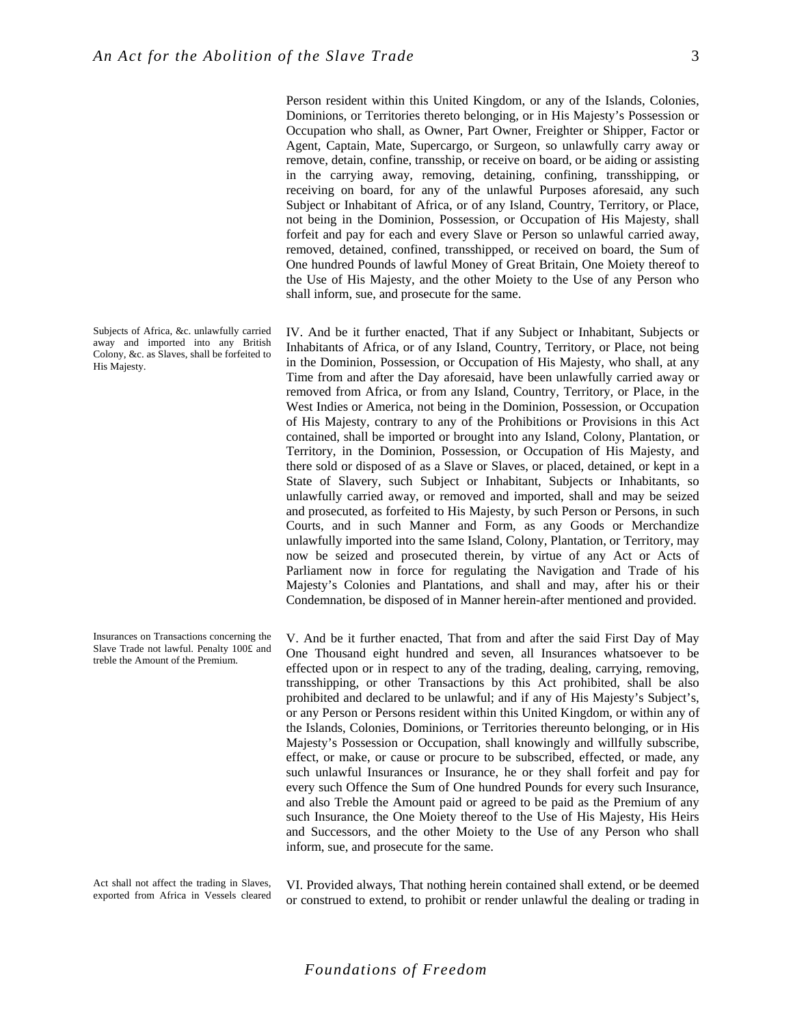Dominions, or Territories thereto belonging, or in His Majesty's Possession or Occupation who shall, as Owner, Part Owner, Freighter or Shipper, Factor or Agent, Captain, Mate, Supercargo, or Surgeon, so unlawfully carry away or remove, detain, confine, transship, or receive on board, or be aiding or assisting in the carrying away, removing, detaining, confining, transshipping, or receiving on board, for any of the unlawful Purposes aforesaid, any such Subject or Inhabitant of Africa, or of any Island, Country, Territory, or Place, not being in the Dominion, Possession, or Occupation of His Majesty, shall forfeit and pay for each and every Slave or Person so unlawful carried away, removed, detained, confined, transshipped, or received on board, the Sum of One hundred Pounds of lawful Money of Great Britain, One Moiety thereof to the Use of His Majesty, and the other Moiety to the Use of any Person who shall inform, sue, and prosecute for the same.

IV. And be it further enacted, That if any Subject or Inhabitant, Subjects or Inhabitants of Africa, or of any Island, Country, Territory, or Place, not being in the Dominion, Possession, or Occupation of His Majesty, who shall, at any Time from and after the Day aforesaid, have been unlawfully carried away or removed from Africa, or from any Island, Country, Territory, or Place, in the West Indies or America, not being in the Dominion, Possession, or Occupation of His Majesty, contrary to any of the Prohibitions or Provisions in this Act contained, shall be imported or brought into any Island, Colony, Plantation, or Territory, in the Dominion, Possession, or Occupation of His Majesty, and there sold or disposed of as a Slave or Slaves, or placed, detained, or kept in a State of Slavery, such Subject or Inhabitant, Subjects or Inhabitants, so unlawfully carried away, or removed and imported, shall and may be seized and prosecuted, as forfeited to His Majesty, by such Person or Persons, in such Courts, and in such Manner and Form, as any Goods or Merchandize unlawfully imported into the same Island, Colony, Plantation, or Territory, may now be seized and prosecuted therein, by virtue of any Act or Acts of Parliament now in force for regulating the Navigation and Trade of his Majesty's Colonies and Plantations, and shall and may, after his or their Condemnation, be disposed of in Manner herein-after mentioned and provided.

V. And be it further enacted, That from and after the said First Day of May One Thousand eight hundred and seven, all Insurances whatsoever to be effected upon or in respect to any of the trading, dealing, carrying, removing, transshipping, or other Transactions by this Act prohibited, shall be also prohibited and declared to be unlawful; and if any of His Majesty's Subject's, or any Person or Persons resident within this United Kingdom, or within any of the Islands, Colonies, Dominions, or Territories thereunto belonging, or in His Majesty's Possession or Occupation, shall knowingly and willfully subscribe, effect, or make, or cause or procure to be subscribed, effected, or made, any such unlawful Insurances or Insurance, he or they shall forfeit and pay for every such Offence the Sum of One hundred Pounds for every such Insurance, and also Treble the Amount paid or agreed to be paid as the Premium of any such Insurance, the One Moiety thereof to the Use of His Majesty, His Heirs and Successors, and the other Moiety to the Use of any Person who shall inform, sue, and prosecute for the same.

VI. Provided always, That nothing herein contained shall extend, or be deemed or construed to extend, to prohibit or render unlawful the dealing or trading in

Subjects of Africa, &c. unlawfully carried away and imported into any British Colony, &c. as Slaves, shall be forfeited to His Majesty.

Insurances on Transactions concerning the Slave Trade not lawful. Penalty 100£ and treble the Amount of the Premium.

Act shall not affect the trading in Slaves, exported from Africa in Vessels cleared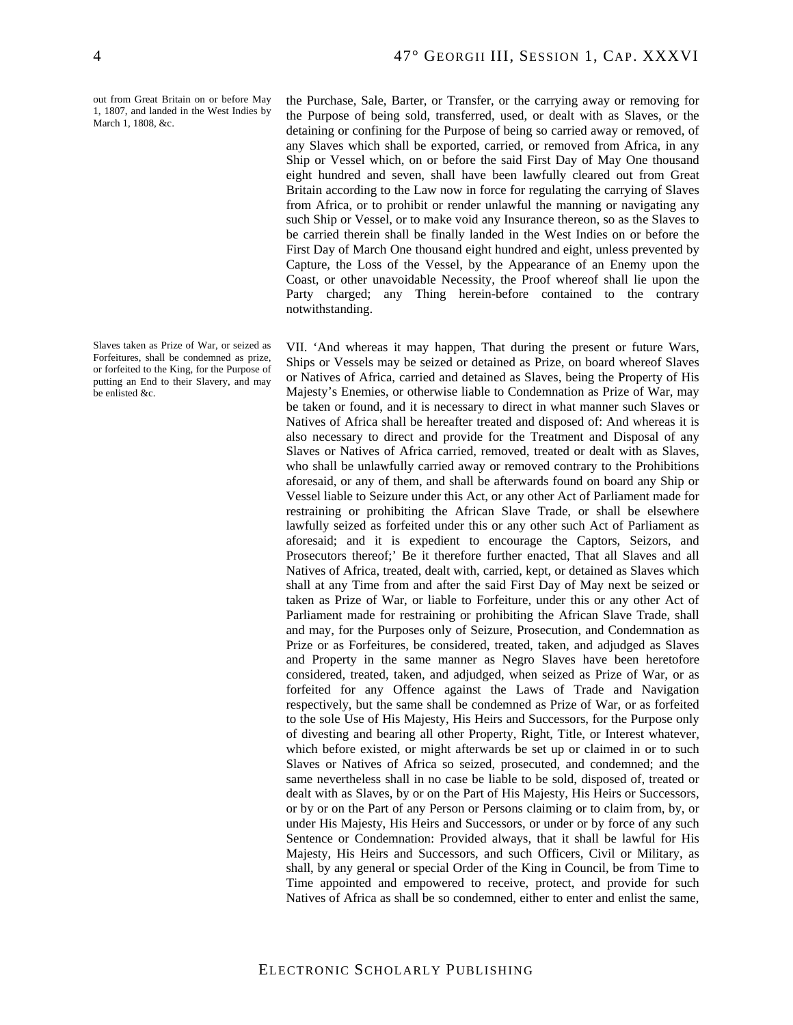out from Great Britain on or before May 1, 1807, and landed in the West Indies by March 1, 1808, &c.

Slaves taken as Prize of War, or seized as Forfeitures, shall be condemned as prize, or forfeited to the King, for the Purpose of putting an End to their Slavery, and may be enlisted &c.

the Purchase, Sale, Barter, or Transfer, or the carrying away or removing for the Purpose of being sold, transferred, used, or dealt with as Slaves, or the detaining or confining for the Purpose of being so carried away or removed, of any Slaves which shall be exported, carried, or removed from Africa, in any Ship or Vessel which, on or before the said First Day of May One thousand eight hundred and seven, shall have been lawfully cleared out from Great Britain according to the Law now in force for regulating the carrying of Slaves from Africa, or to prohibit or render unlawful the manning or navigating any such Ship or Vessel, or to make void any Insurance thereon, so as the Slaves to be carried therein shall be finally landed in the West Indies on or before the First Day of March One thousand eight hundred and eight, unless prevented by Capture, the Loss of the Vessel, by the Appearance of an Enemy upon the Coast, or other unavoidable Necessity, the Proof whereof shall lie upon the Party charged; any Thing herein-before contained to the contrary notwithstanding.

VII. 'And whereas it may happen, That during the present or future Wars, Ships or Vessels may be seized or detained as Prize, on board whereof Slaves or Natives of Africa, carried and detained as Slaves, being the Property of His Majesty's Enemies, or otherwise liable to Condemnation as Prize of War, may be taken or found, and it is necessary to direct in what manner such Slaves or Natives of Africa shall be hereafter treated and disposed of: And whereas it is also necessary to direct and provide for the Treatment and Disposal of any Slaves or Natives of Africa carried, removed, treated or dealt with as Slaves, who shall be unlawfully carried away or removed contrary to the Prohibitions aforesaid, or any of them, and shall be afterwards found on board any Ship or Vessel liable to Seizure under this Act, or any other Act of Parliament made for restraining or prohibiting the African Slave Trade, or shall be elsewhere lawfully seized as forfeited under this or any other such Act of Parliament as aforesaid; and it is expedient to encourage the Captors, Seizors, and Prosecutors thereof;' Be it therefore further enacted, That all Slaves and all Natives of Africa, treated, dealt with, carried, kept, or detained as Slaves which shall at any Time from and after the said First Day of May next be seized or taken as Prize of War, or liable to Forfeiture, under this or any other Act of Parliament made for restraining or prohibiting the African Slave Trade, shall and may, for the Purposes only of Seizure, Prosecution, and Condemnation as Prize or as Forfeitures, be considered, treated, taken, and adjudged as Slaves and Property in the same manner as Negro Slaves have been heretofore considered, treated, taken, and adjudged, when seized as Prize of War, or as forfeited for any Offence against the Laws of Trade and Navigation respectively, but the same shall be condemned as Prize of War, or as forfeited to the sole Use of His Majesty, His Heirs and Successors, for the Purpose only of divesting and bearing all other Property, Right, Title, or Interest whatever, which before existed, or might afterwards be set up or claimed in or to such Slaves or Natives of Africa so seized, prosecuted, and condemned; and the same nevertheless shall in no case be liable to be sold, disposed of, treated or dealt with as Slaves, by or on the Part of His Majesty, His Heirs or Successors, or by or on the Part of any Person or Persons claiming or to claim from, by, or under His Majesty, His Heirs and Successors, or under or by force of any such Sentence or Condemnation: Provided always, that it shall be lawful for His Majesty, His Heirs and Successors, and such Officers, Civil or Military, as shall, by any general or special Order of the King in Council, be from Time to Time appointed and empowered to receive, protect, and provide for such Natives of Africa as shall be so condemned, either to enter and enlist the same,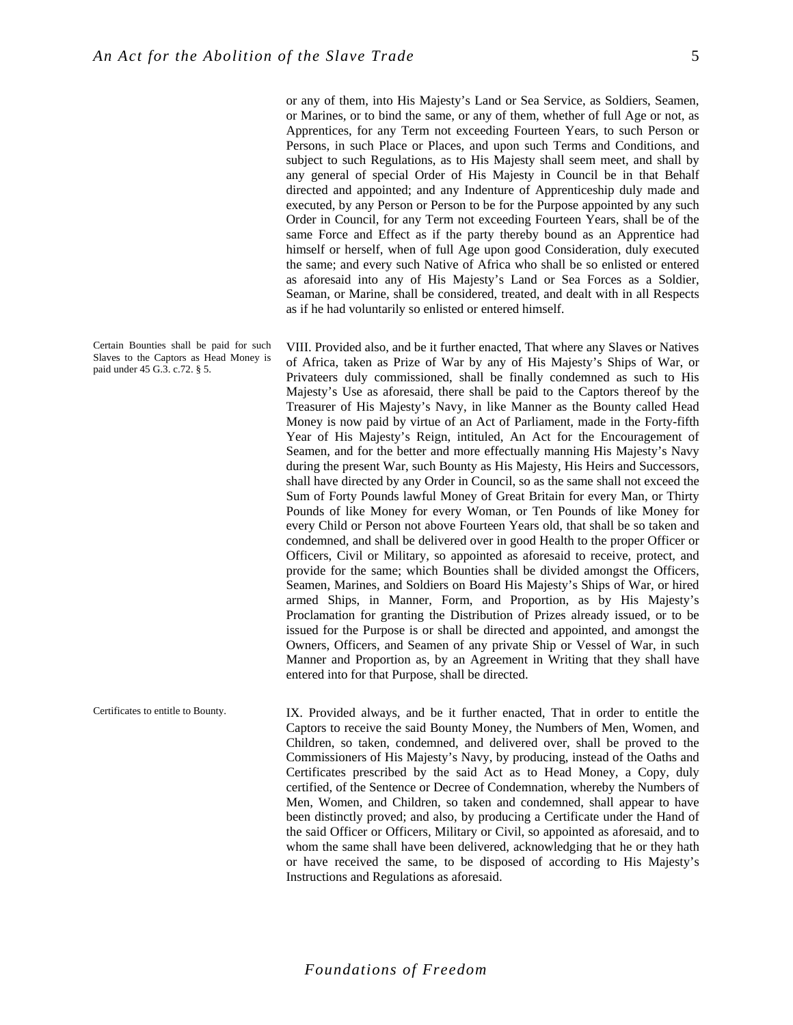or any of them, into His Majesty's Land or Sea Service, as Soldiers, Seamen, or Marines, or to bind the same, or any of them, whether of full Age or not, as Apprentices, for any Term not exceeding Fourteen Years, to such Person or Persons, in such Place or Places, and upon such Terms and Conditions, and subject to such Regulations, as to His Majesty shall seem meet, and shall by any general of special Order of His Majesty in Council be in that Behalf directed and appointed; and any Indenture of Apprenticeship duly made and executed, by any Person or Person to be for the Purpose appointed by any such Order in Council, for any Term not exceeding Fourteen Years, shall be of the same Force and Effect as if the party thereby bound as an Apprentice had himself or herself, when of full Age upon good Consideration, duly executed the same; and every such Native of Africa who shall be so enlisted or entered as aforesaid into any of His Majesty's Land or Sea Forces as a Soldier, Seaman, or Marine, shall be considered, treated, and dealt with in all Respects as if he had voluntarily so enlisted or entered himself.

VIII. Provided also, and be it further enacted, That where any Slaves or Natives of Africa, taken as Prize of War by any of His Majesty's Ships of War, or Privateers duly commissioned, shall be finally condemned as such to His Majesty's Use as aforesaid, there shall be paid to the Captors thereof by the Treasurer of His Majesty's Navy, in like Manner as the Bounty called Head Money is now paid by virtue of an Act of Parliament, made in the Forty-fifth Year of His Majesty's Reign, intituled, An Act for the Encouragement of Seamen, and for the better and more effectually manning His Majesty's Navy during the present War, such Bounty as His Majesty, His Heirs and Successors, shall have directed by any Order in Council, so as the same shall not exceed the Sum of Forty Pounds lawful Money of Great Britain for every Man, or Thirty Pounds of like Money for every Woman, or Ten Pounds of like Money for every Child or Person not above Fourteen Years old, that shall be so taken and condemned, and shall be delivered over in good Health to the proper Officer or Officers, Civil or Military, so appointed as aforesaid to receive, protect, and provide for the same; which Bounties shall be divided amongst the Officers, Seamen, Marines, and Soldiers on Board His Majesty's Ships of War, or hired armed Ships, in Manner, Form, and Proportion, as by His Majesty's Proclamation for granting the Distribution of Prizes already issued, or to be issued for the Purpose is or shall be directed and appointed, and amongst the Owners, Officers, and Seamen of any private Ship or Vessel of War, in such Manner and Proportion as, by an Agreement in Writing that they shall have entered into for that Purpose, shall be directed.

Certificates to entitle to Bounty. IX. Provided always, and be it further enacted, That in order to entitle the Captors to receive the said Bounty Money, the Numbers of Men, Women, and Children, so taken, condemned, and delivered over, shall be proved to the Commissioners of His Majesty's Navy, by producing, instead of the Oaths and Certificates prescribed by the said Act as to Head Money, a Copy, duly certified, of the Sentence or Decree of Condemnation, whereby the Numbers of Men, Women, and Children, so taken and condemned, shall appear to have been distinctly proved; and also, by producing a Certificate under the Hand of the said Officer or Officers, Military or Civil, so appointed as aforesaid, and to whom the same shall have been delivered, acknowledging that he or they hath or have received the same, to be disposed of according to His Majesty's Instructions and Regulations as aforesaid.

Certain Bounties shall be paid for such Slaves to the Captors as Head Money is paid under 45 G.3. c.72. § 5.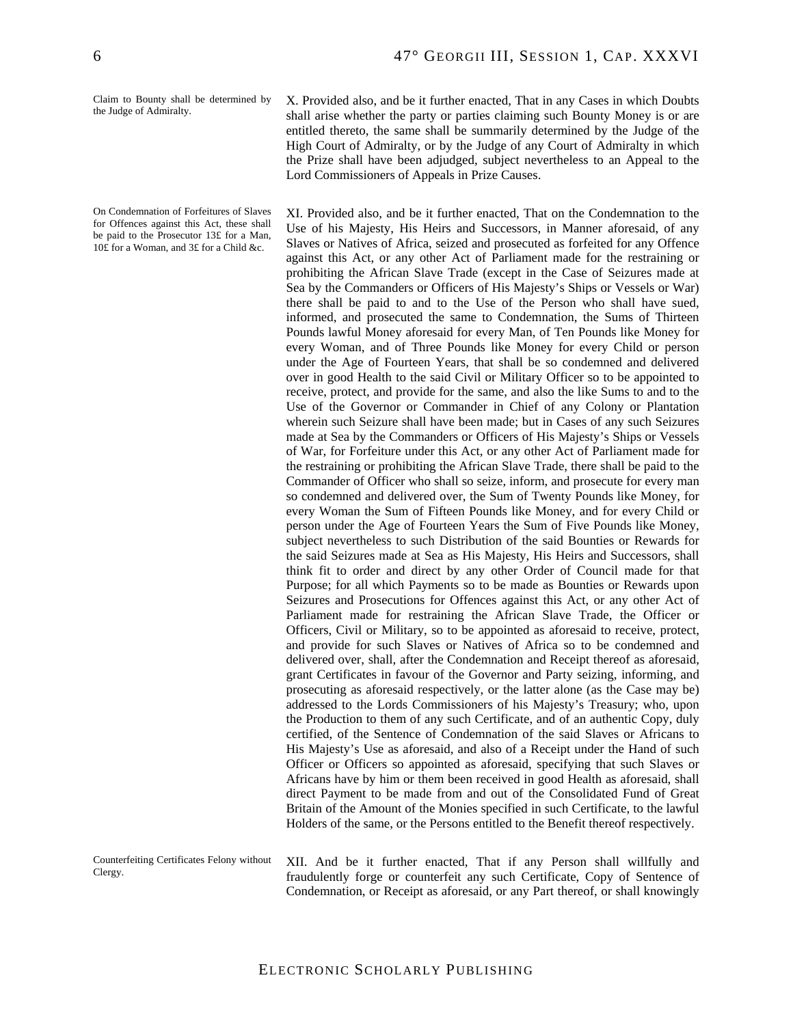Claim to Bounty shall be determined by the Judge of Admiralty.

On Condemnation of Forfeitures of Slaves for Offences against this Act, these shall be paid to the Prosecutor 13£ for a Man, 10£ for a Woman, and 3£ for a Child &c.

X. Provided also, and be it further enacted, That in any Cases in which Doubts shall arise whether the party or parties claiming such Bounty Money is or are entitled thereto, the same shall be summarily determined by the Judge of the High Court of Admiralty, or by the Judge of any Court of Admiralty in which the Prize shall have been adjudged, subject nevertheless to an Appeal to the Lord Commissioners of Appeals in Prize Causes.

XI. Provided also, and be it further enacted, That on the Condemnation to the Use of his Majesty, His Heirs and Successors, in Manner aforesaid, of any Slaves or Natives of Africa, seized and prosecuted as forfeited for any Offence against this Act, or any other Act of Parliament made for the restraining or prohibiting the African Slave Trade (except in the Case of Seizures made at Sea by the Commanders or Officers of His Majesty's Ships or Vessels or War) there shall be paid to and to the Use of the Person who shall have sued, informed, and prosecuted the same to Condemnation, the Sums of Thirteen Pounds lawful Money aforesaid for every Man, of Ten Pounds like Money for every Woman, and of Three Pounds like Money for every Child or person under the Age of Fourteen Years, that shall be so condemned and delivered over in good Health to the said Civil or Military Officer so to be appointed to receive, protect, and provide for the same, and also the like Sums to and to the Use of the Governor or Commander in Chief of any Colony or Plantation wherein such Seizure shall have been made; but in Cases of any such Seizures made at Sea by the Commanders or Officers of His Majesty's Ships or Vessels of War, for Forfeiture under this Act, or any other Act of Parliament made for the restraining or prohibiting the African Slave Trade, there shall be paid to the Commander of Officer who shall so seize, inform, and prosecute for every man so condemned and delivered over, the Sum of Twenty Pounds like Money, for every Woman the Sum of Fifteen Pounds like Money, and for every Child or person under the Age of Fourteen Years the Sum of Five Pounds like Money, subject nevertheless to such Distribution of the said Bounties or Rewards for the said Seizures made at Sea as His Majesty, His Heirs and Successors, shall think fit to order and direct by any other Order of Council made for that Purpose; for all which Payments so to be made as Bounties or Rewards upon Seizures and Prosecutions for Offences against this Act, or any other Act of Parliament made for restraining the African Slave Trade, the Officer or Officers, Civil or Military, so to be appointed as aforesaid to receive, protect, and provide for such Slaves or Natives of Africa so to be condemned and delivered over, shall, after the Condemnation and Receipt thereof as aforesaid, grant Certificates in favour of the Governor and Party seizing, informing, and prosecuting as aforesaid respectively, or the latter alone (as the Case may be) addressed to the Lords Commissioners of his Majesty's Treasury; who, upon the Production to them of any such Certificate, and of an authentic Copy, duly certified, of the Sentence of Condemnation of the said Slaves or Africans to His Majesty's Use as aforesaid, and also of a Receipt under the Hand of such Officer or Officers so appointed as aforesaid, specifying that such Slaves or Africans have by him or them been received in good Health as aforesaid, shall direct Payment to be made from and out of the Consolidated Fund of Great Britain of the Amount of the Monies specified in such Certificate, to the lawful Holders of the same, or the Persons entitled to the Benefit thereof respectively.

Counterfeiting Certificates Felony without

Counterfeiting Certificates Felony without XII. And be it further enacted, That if any Person shall willfully and Clergy. fraudulently forge or counterfeit any such Certificate, Copy of Sentence of Condemnation, or Receipt as aforesaid, or any Part thereof, or shall knowingly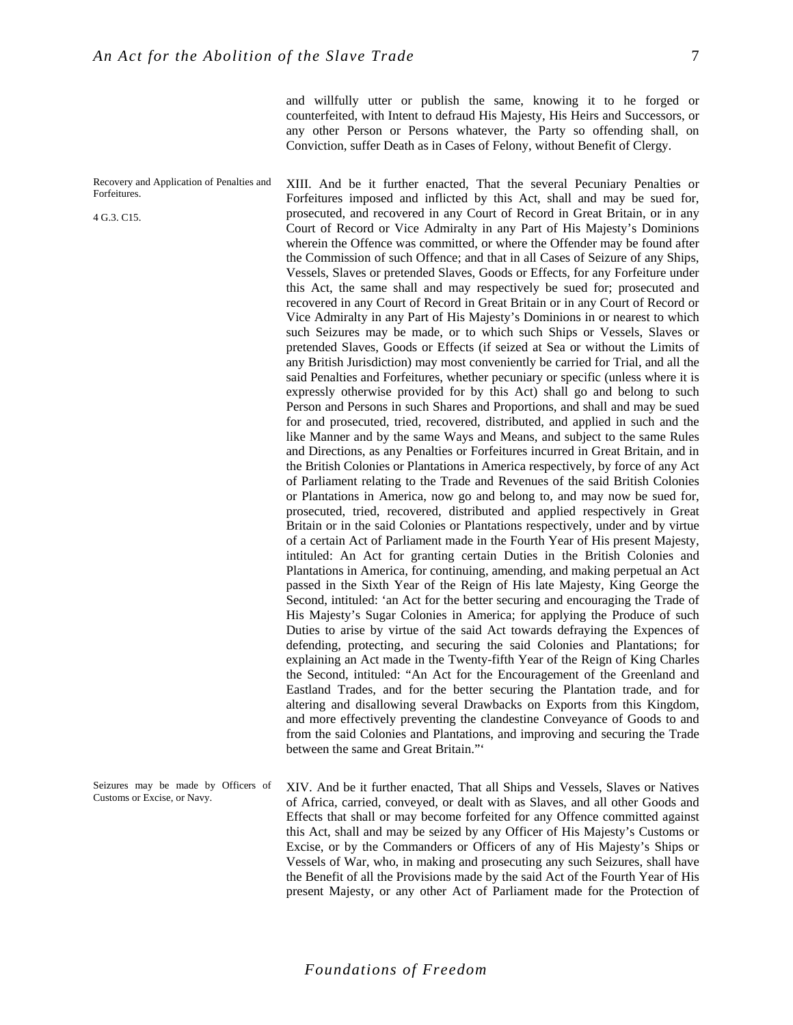and willfully utter or publish the same, knowing it to he forged or counterfeited, with Intent to defraud His Majesty, His Heirs and Successors, or any other Person or Persons whatever, the Party so offending shall, on Conviction, suffer Death as in Cases of Felony, without Benefit of Clergy.

XIII. And be it further enacted, That the several Pecuniary Penalties or Forfeitures imposed and inflicted by this Act, shall and may be sued for, prosecuted, and recovered in any Court of Record in Great Britain, or in any Court of Record or Vice Admiralty in any Part of His Majesty's Dominions wherein the Offence was committed, or where the Offender may be found after the Commission of such Offence; and that in all Cases of Seizure of any Ships, Vessels, Slaves or pretended Slaves, Goods or Effects, for any Forfeiture under this Act, the same shall and may respectively be sued for; prosecuted and recovered in any Court of Record in Great Britain or in any Court of Record or Vice Admiralty in any Part of His Majesty's Dominions in or nearest to which such Seizures may be made, or to which such Ships or Vessels, Slaves or pretended Slaves, Goods or Effects (if seized at Sea or without the Limits of any British Jurisdiction) may most conveniently be carried for Trial, and all the said Penalties and Forfeitures, whether pecuniary or specific (unless where it is expressly otherwise provided for by this Act) shall go and belong to such Person and Persons in such Shares and Proportions, and shall and may be sued for and prosecuted, tried, recovered, distributed, and applied in such and the like Manner and by the same Ways and Means, and subject to the same Rules and Directions, as any Penalties or Forfeitures incurred in Great Britain, and in the British Colonies or Plantations in America respectively, by force of any Act of Parliament relating to the Trade and Revenues of the said British Colonies or Plantations in America, now go and belong to, and may now be sued for, prosecuted, tried, recovered, distributed and applied respectively in Great Britain or in the said Colonies or Plantations respectively, under and by virtue of a certain Act of Parliament made in the Fourth Year of His present Majesty, intituled: An Act for granting certain Duties in the British Colonies and Plantations in America, for continuing, amending, and making perpetual an Act passed in the Sixth Year of the Reign of His late Majesty, King George the Second, intituled: 'an Act for the better securing and encouraging the Trade of His Majesty's Sugar Colonies in America; for applying the Produce of such Duties to arise by virtue of the said Act towards defraying the Expences of defending, protecting, and securing the said Colonies and Plantations; for explaining an Act made in the Twenty-fifth Year of the Reign of King Charles the Second, intituled: "An Act for the Encouragement of the Greenland and Eastland Trades, and for the better securing the Plantation trade, and for altering and disallowing several Drawbacks on Exports from this Kingdom, and more effectively preventing the clandestine Conveyance of Goods to and from the said Colonies and Plantations, and improving and securing the Trade between the same and Great Britain."'

Seizures may be made by Officers of Seizures may be made by Officers of XIV. And be it further enacted, That all Ships and Vessels, Slaves or Natives Customs or Excise, or Navy. of Africa, carried, conveyed, or dealt with as Slaves, and all other Goods and Effects that shall or may become forfeited for any Offence committed against this Act, shall and may be seized by any Officer of His Majesty's Customs or Excise, or by the Commanders or Officers of any of His Majesty's Ships or Vessels of War, who, in making and prosecuting any such Seizures, shall have the Benefit of all the Provisions made by the said Act of the Fourth Year of His present Majesty, or any other Act of Parliament made for the Protection of

Recovery and Application of Penalties and Forfeitures.

4 G.3. C15.